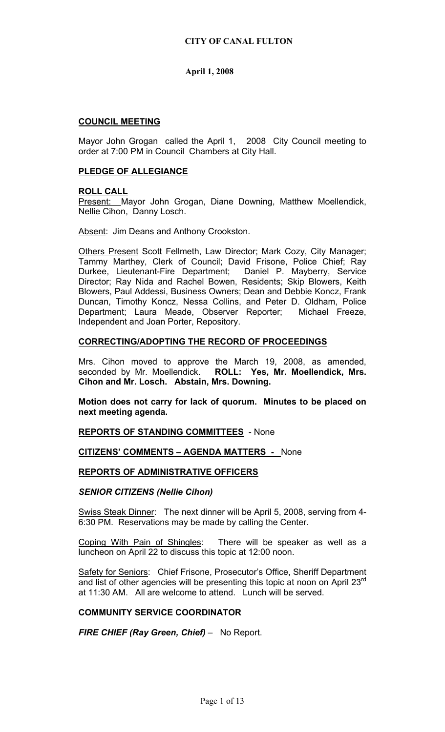## **COUNCIL MEETING**

Mayor John Grogan called the April 1, 2008 City Council meeting to order at 7:00 PM in Council Chambers at City Hall.

## **PLEDGE OF ALLEGIANCE**

### **ROLL CALL**

Present: Mayor John Grogan, Diane Downing, Matthew Moellendick, Nellie Cihon, Danny Losch.

Absent: Jim Deans and Anthony Crookston.

Others Present Scott Fellmeth, Law Director; Mark Cozy, City Manager; Tammy Marthey, Clerk of Council; David Frisone, Police Chief; Ray Durkee, Lieutenant-Fire Department; Daniel P. Mayberry, Service Director; Ray Nida and Rachel Bowen, Residents; Skip Blowers, Keith Blowers, Paul Addessi, Business Owners; Dean and Debbie Koncz, Frank Duncan, Timothy Koncz, Nessa Collins, and Peter D. Oldham, Police Department; Laura Meade, Observer Reporter; Michael Freeze, Independent and Joan Porter, Repository.

## **CORRECTING/ADOPTING THE RECORD OF PROCEEDINGS**

Mrs. Cihon moved to approve the March 19, 2008, as amended, seconded by Mr. Moellendick. **ROLL: Yes, Mr. Moellendick, Mrs. Cihon and Mr. Losch. Abstain, Mrs. Downing.** 

**Motion does not carry for lack of quorum. Minutes to be placed on next meeting agenda.** 

**REPORTS OF STANDING COMMITTEES** - None

### **CITIZENS' COMMENTS – AGENDA MATTERS -** None

### **REPORTS OF ADMINISTRATIVE OFFICERS**

### *SENIOR CITIZENS (Nellie Cihon)*

Swiss Steak Dinner: The next dinner will be April 5, 2008, serving from 4- 6:30 PM. Reservations may be made by calling the Center.

Coping With Pain of Shingles: There will be speaker as well as a luncheon on April 22 to discuss this topic at 12:00 noon.

Safety for Seniors: Chief Frisone, Prosecutor's Office, Sheriff Department and list of other agencies will be presenting this topic at noon on April 23 $^{\text{rd}}$ at 11:30 AM. All are welcome to attend. Lunch will be served.

### **COMMUNITY SERVICE COORDINATOR**

*FIRE CHIEF (Ray Green, Chief)* – No Report.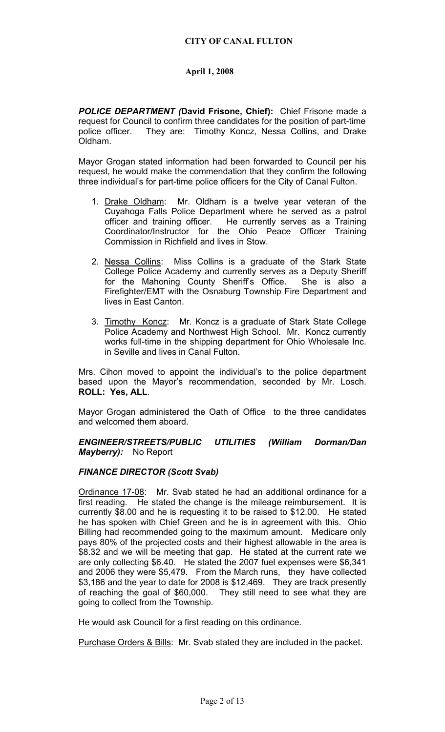*POLICE DEPARTMENT (***David Frisone, Chief):** Chief Frisone made a request for Council to confirm three candidates for the position of part-time police officer. They are: Timothy Koncz, Nessa Collins, and Drake Oldham.

Mayor Grogan stated information had been forwarded to Council per his request, he would make the commendation that they confirm the following three individual's for part-time police officers for the City of Canal Fulton.

- 1. Drake Oldham: Mr. Oldham is a twelve year veteran of the Cuyahoga Falls Police Department where he served as a patrol officer and training officer. He currently serves as a Training Coordinator/Instructor for the Ohio Peace Officer Training Commission in Richfield and lives in Stow.
- 2. Nessa Collins: Miss Collins is a graduate of the Stark State College Police Academy and currently serves as a Deputy Sheriff for the Mahoning County Sheriff's Office. She is also a Firefighter/EMT with the Osnaburg Township Fire Department and lives in East Canton.
- 3. Timothy Koncz: Mr. Koncz is a graduate of Stark State College Police Academy and Northwest High School. Mr. Koncz currently works full-time in the shipping department for Ohio Wholesale Inc. in Seville and lives in Canal Fulton.

Mrs. Cihon moved to appoint the individual's to the police department based upon the Mayor's recommendation, seconded by Mr. Losch. **ROLL: Yes, ALL**.

Mayor Grogan administered the Oath of Office to the three candidates and welcomed them aboard.

*ENGINEER/STREETS/PUBLIC UTILITIES (William Dorman/Dan Mayberry):* No Report

### *FINANCE DIRECTOR (Scott Svab)*

Ordinance 17-08: Mr. Svab stated he had an additional ordinance for a first reading. He stated the change is the mileage reimbursement. It is currently \$8.00 and he is requesting it to be raised to \$12.00. He stated he has spoken with Chief Green and he is in agreement with this. Ohio Billing had recommended going to the maximum amount. Medicare only pays 80% of the projected costs and their highest allowable in the area is \$8.32 and we will be meeting that gap. He stated at the current rate we are only collecting \$6.40. He stated the 2007 fuel expenses were \$6,341 and 2006 they were \$5,479. From the March runs, they have collected \$3,186 and the year to date for 2008 is \$12,469. They are track presently of reaching the goal of \$60,000. They still need to see what they are going to collect from the Township.

He would ask Council for a first reading on this ordinance.

Purchase Orders & Bills: Mr. Svab stated they are included in the packet.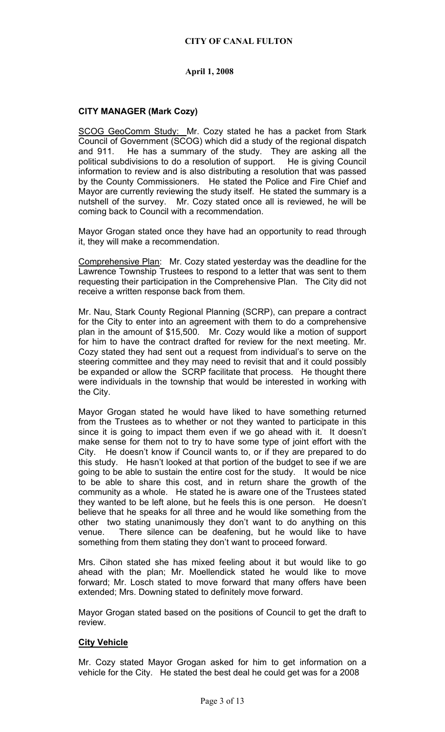## **CITY OF CANAL FULTON**

## **April 1, 2008**

## **CITY MANAGER (Mark Cozy)**

SCOG GeoComm Study: Mr. Cozy stated he has a packet from Stark Council of Government (SCOG) which did a study of the regional dispatch and 911. He has a summary of the study. They are asking all the political subdivisions to do a resolution of support. He is giving Council information to review and is also distributing a resolution that was passed by the County Commissioners. He stated the Police and Fire Chief and Mayor are currently reviewing the study itself. He stated the summary is a nutshell of the survey. Mr. Cozy stated once all is reviewed, he will be coming back to Council with a recommendation.

Mayor Grogan stated once they have had an opportunity to read through it, they will make a recommendation.

Comprehensive Plan: Mr. Cozy stated yesterday was the deadline for the Lawrence Township Trustees to respond to a letter that was sent to them requesting their participation in the Comprehensive Plan. The City did not receive a written response back from them.

Mr. Nau, Stark County Regional Planning (SCRP), can prepare a contract for the City to enter into an agreement with them to do a comprehensive plan in the amount of \$15,500. Mr. Cozy would like a motion of support for him to have the contract drafted for review for the next meeting. Mr. Cozy stated they had sent out a request from individual's to serve on the steering committee and they may need to revisit that and it could possibly be expanded or allow the SCRP facilitate that process. He thought there were individuals in the township that would be interested in working with the City.

Mayor Grogan stated he would have liked to have something returned from the Trustees as to whether or not they wanted to participate in this since it is going to impact them even if we go ahead with it. It doesn't make sense for them not to try to have some type of joint effort with the City. He doesn't know if Council wants to, or if they are prepared to do this study. He hasn't looked at that portion of the budget to see if we are going to be able to sustain the entire cost for the study. It would be nice to be able to share this cost, and in return share the growth of the community as a whole. He stated he is aware one of the Trustees stated they wanted to be left alone, but he feels this is one person. He doesn't believe that he speaks for all three and he would like something from the other two stating unanimously they don't want to do anything on this venue. There silence can be deafening, but he would like to have something from them stating they don't want to proceed forward.

Mrs. Cihon stated she has mixed feeling about it but would like to go ahead with the plan; Mr. Moellendick stated he would like to move forward; Mr. Losch stated to move forward that many offers have been extended; Mrs. Downing stated to definitely move forward.

Mayor Grogan stated based on the positions of Council to get the draft to review.

### **City Vehicle**

Mr. Cozy stated Mayor Grogan asked for him to get information on a vehicle for the City. He stated the best deal he could get was for a 2008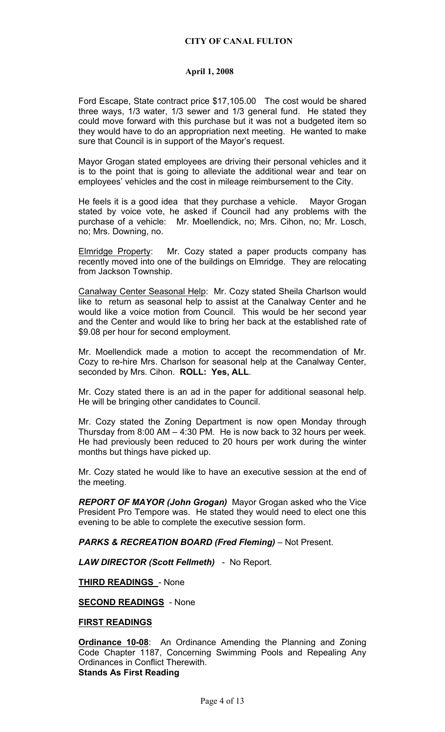Ford Escape, State contract price \$17,105.00 The cost would be shared three ways, 1/3 water, 1/3 sewer and 1/3 general fund. He stated they could move forward with this purchase but it was not a budgeted item so they would have to do an appropriation next meeting. He wanted to make sure that Council is in support of the Mayor's request.

Mayor Grogan stated employees are driving their personal vehicles and it is to the point that is going to alleviate the additional wear and tear on employees' vehicles and the cost in mileage reimbursement to the City.

He feels it is a good idea that they purchase a vehicle. Mayor Grogan stated by voice vote, he asked if Council had any problems with the purchase of a vehicle: Mr. Moellendick, no; Mrs. Cihon, no; Mr. Losch, no; Mrs. Downing, no.

Elmridge Property: Mr. Cozy stated a paper products company has recently moved into one of the buildings on Elmridge. They are relocating from Jackson Township.

Canalway Center Seasonal Help: Mr. Cozy stated Sheila Charlson would like to return as seasonal help to assist at the Canalway Center and he would like a voice motion from Council. This would be her second year and the Center and would like to bring her back at the established rate of \$9.08 per hour for second employment.

Mr. Moellendick made a motion to accept the recommendation of Mr. Cozy to re-hire Mrs. Charlson for seasonal help at the Canalway Center, seconded by Mrs. Cihon. **ROLL: Yes, ALL**.

Mr. Cozy stated there is an ad in the paper for additional seasonal help. He will be bringing other candidates to Council.

Mr. Cozy stated the Zoning Department is now open Monday through Thursday from 8:00 AM – 4:30 PM. He is now back to 32 hours per week. He had previously been reduced to 20 hours per work during the winter months but things have picked up.

Mr. Cozy stated he would like to have an executive session at the end of the meeting.

*REPORT OF MAYOR (John Grogan)* Mayor Grogan asked who the Vice President Pro Tempore was. He stated they would need to elect one this evening to be able to complete the executive session form.

*PARKS & RECREATION BOARD (Fred Fleming)* – Not Present.

*LAW DIRECTOR (Scott Fellmeth)* - No Report.

**THIRD READINGS** - None

**SECOND READINGS** - None

**FIRST READINGS** 

**Ordinance 10-08**: An Ordinance Amending the Planning and Zoning Code Chapter 1187, Concerning Swimming Pools and Repealing Any Ordinances in Conflict Therewith. **Stands As First Reading**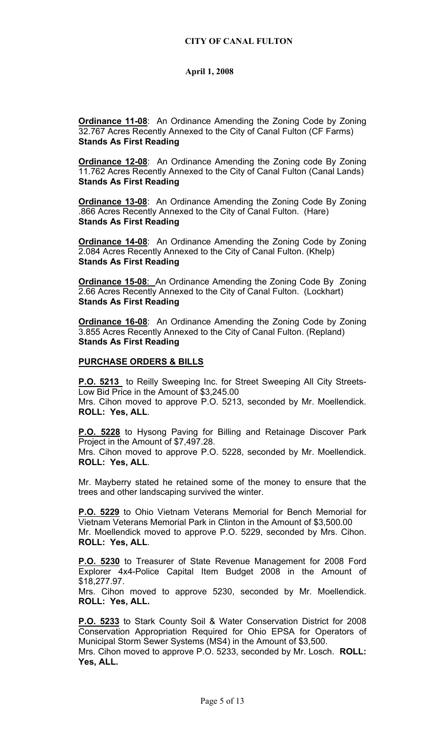**Ordinance 11-08**: An Ordinance Amending the Zoning Code by Zoning 32.767 Acres Recently Annexed to the City of Canal Fulton (CF Farms) **Stands As First Reading** 

**Ordinance 12-08**: An Ordinance Amending the Zoning code By Zoning 11.762 Acres Recently Annexed to the City of Canal Fulton (Canal Lands) **Stands As First Reading** 

**Ordinance 13-08**: An Ordinance Amending the Zoning Code By Zoning .866 Acres Recently Annexed to the City of Canal Fulton. (Hare) **Stands As First Reading** 

**Ordinance 14-08:** An Ordinance Amending the Zoning Code by Zoning 2.084 Acres Recently Annexed to the City of Canal Fulton. (Khelp) **Stands As First Reading** 

**Ordinance 15-08**: An Ordinance Amending the Zoning Code By Zoning 2.66 Acres Recently Annexed to the City of Canal Fulton. (Lockhart) **Stands As First Reading** 

**Ordinance 16-08**: An Ordinance Amending the Zoning Code by Zoning 3.855 Acres Recently Annexed to the City of Canal Fulton. (Repland) **Stands As First Reading** 

### **PURCHASE ORDERS & BILLS**

**P.O. 5213** to Reilly Sweeping Inc. for Street Sweeping All City Streets-Low Bid Price in the Amount of \$3,245.00

Mrs. Cihon moved to approve P.O. 5213, seconded by Mr. Moellendick. **ROLL: Yes, ALL**.

**P.O. 5228** to Hysong Paving for Billing and Retainage Discover Park Project in the Amount of \$7,497.28.

Mrs. Cihon moved to approve P.O. 5228, seconded by Mr. Moellendick. **ROLL: Yes, ALL**.

Mr. Mayberry stated he retained some of the money to ensure that the trees and other landscaping survived the winter.

**P.O. 5229** to Ohio Vietnam Veterans Memorial for Bench Memorial for Vietnam Veterans Memorial Park in Clinton in the Amount of \$3,500.00 Mr. Moellendick moved to approve P.O. 5229, seconded by Mrs. Cihon. **ROLL: Yes, ALL**.

**P.O. 5230** to Treasurer of State Revenue Management for 2008 Ford Explorer 4x4-Police Capital Item Budget 2008 in the Amount of \$18,277.97.

Mrs. Cihon moved to approve 5230, seconded by Mr. Moellendick. **ROLL: Yes, ALL.** 

**P.O. 5233** to Stark County Soil & Water Conservation District for 2008 Conservation Appropriation Required for Ohio EPSA for Operators of Municipal Storm Sewer Systems (MS4) in the Amount of \$3,500.

Mrs. Cihon moved to approve P.O. 5233, seconded by Mr. Losch. **ROLL: Yes, ALL.**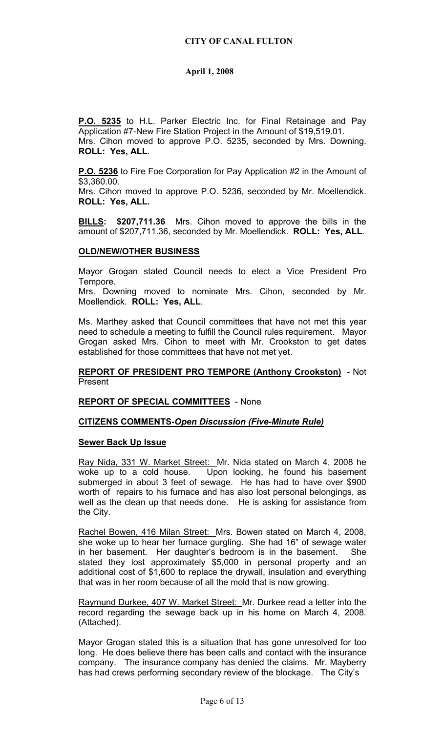**P.O. 5235** to H.L. Parker Electric Inc. for Final Retainage and Pay Application #7-New Fire Station Project in the Amount of \$19,519.01. Mrs. Cihon moved to approve P.O. 5235, seconded by Mrs. Downing. **ROLL: Yes, ALL**.

**P.O. 5236** to Fire Foe Corporation for Pay Application #2 in the Amount of \$3,360.00.

Mrs. Cihon moved to approve P.O. 5236, seconded by Mr. Moellendick. **ROLL: Yes, ALL.**

**BILLS: \$207,711.36** Mrs. Cihon moved to approve the bills in the amount of \$207,711.36, seconded by Mr. Moellendick. **ROLL: Yes, ALL**.

### **OLD/NEW/OTHER BUSINESS**

Mayor Grogan stated Council needs to elect a Vice President Pro Tempore.

Mrs. Downing moved to nominate Mrs. Cihon, seconded by Mr. Moellendick. **ROLL: Yes, ALL**.

Ms. Marthey asked that Council committees that have not met this year need to schedule a meeting to fulfill the Council rules requirement. Mayor Grogan asked Mrs. Cihon to meet with Mr. Crookston to get dates established for those committees that have not met yet.

### **REPORT OF PRESIDENT PRO TEMPORE (Anthony Crookston)** - Not Present

### **REPORT OF SPECIAL COMMITTEES** - None

### **CITIZENS COMMENTS-***Open Discussion (Five-Minute Rule)*

### **Sewer Back Up Issue**

Ray Nida, 331 W. Market Street: Mr. Nida stated on March 4, 2008 he woke up to a cold house. Upon looking, he found his basement submerged in about 3 feet of sewage. He has had to have over \$900 worth of repairs to his furnace and has also lost personal belongings, as well as the clean up that needs done. He is asking for assistance from the City.

Rachel Bowen, 416 Milan Street: Mrs. Bowen stated on March 4, 2008, she woke up to hear her furnace gurgling. She had 16" of sewage water in her basement. Her daughter's bedroom is in the basement. She stated they lost approximately \$5,000 in personal property and an additional cost of \$1,600 to replace the drywall, insulation and everything that was in her room because of all the mold that is now growing.

Raymund Durkee, 407 W. Market Street: Mr. Durkee read a letter into the record regarding the sewage back up in his home on March 4, 2008. (Attached).

Mayor Grogan stated this is a situation that has gone unresolved for too long. He does believe there has been calls and contact with the insurance company. The insurance company has denied the claims. Mr. Mayberry has had crews performing secondary review of the blockage. The City's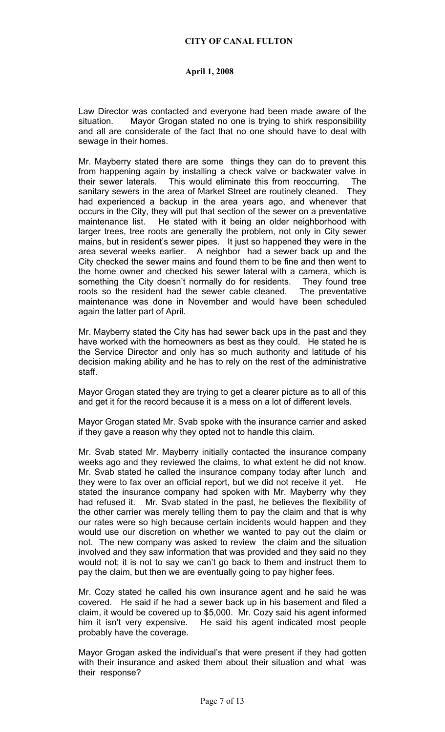Law Director was contacted and everyone had been made aware of the situation. Mayor Grogan stated no one is trying to shirk responsibility and all are considerate of the fact that no one should have to deal with sewage in their homes.

Mr. Mayberry stated there are some things they can do to prevent this from happening again by installing a check valve or backwater valve in their sewer laterals. This would eliminate this from reoccurring. The sanitary sewers in the area of Market Street are routinely cleaned. They had experienced a backup in the area years ago, and whenever that occurs in the City, they will put that section of the sewer on a preventative maintenance list. He stated with it being an older neighborhood with larger trees, tree roots are generally the problem, not only in City sewer mains, but in resident's sewer pipes. It just so happened they were in the area several weeks earlier. A neighbor had a sewer back up and the City checked the sewer mains and found them to be fine and then went to the home owner and checked his sewer lateral with a camera, which is something the City doesn't normally do for residents. They found tree roots so the resident had the sewer cable cleaned. The preventative maintenance was done in November and would have been scheduled again the latter part of April.

Mr. Mayberry stated the City has had sewer back ups in the past and they have worked with the homeowners as best as they could. He stated he is the Service Director and only has so much authority and latitude of his decision making ability and he has to rely on the rest of the administrative staff.

Mayor Grogan stated they are trying to get a clearer picture as to all of this and get it for the record because it is a mess on a lot of different levels.

Mayor Grogan stated Mr. Svab spoke with the insurance carrier and asked if they gave a reason why they opted not to handle this claim.

Mr. Svab stated Mr. Mayberry initially contacted the insurance company weeks ago and they reviewed the claims, to what extent he did not know. Mr. Svab stated he called the insurance company today after lunch and they were to fax over an official report, but we did not receive it yet. He stated the insurance company had spoken with Mr. Mayberry why they had refused it. Mr. Svab stated in the past, he believes the flexibility of the other carrier was merely telling them to pay the claim and that is why our rates were so high because certain incidents would happen and they would use our discretion on whether we wanted to pay out the claim or not. The new company was asked to review the claim and the situation involved and they saw information that was provided and they said no they would not; it is not to say we can't go back to them and instruct them to pay the claim, but then we are eventually going to pay higher fees.

Mr. Cozy stated he called his own insurance agent and he said he was covered. He said if he had a sewer back up in his basement and filed a claim, it would be covered up to \$5,000. Mr. Cozy said his agent informed him it isn't very expensive. He said his agent indicated most people probably have the coverage.

Mayor Grogan asked the individual's that were present if they had gotten with their insurance and asked them about their situation and what was their response?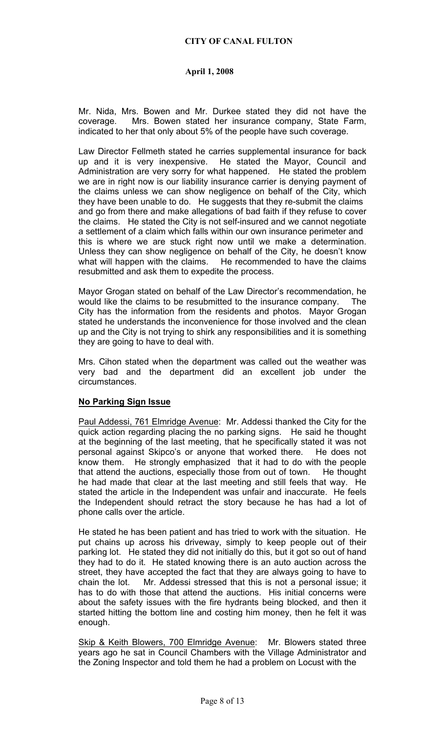Mr. Nida, Mrs. Bowen and Mr. Durkee stated they did not have the coverage. Mrs. Bowen stated her insurance company, State Farm, indicated to her that only about 5% of the people have such coverage.

Law Director Fellmeth stated he carries supplemental insurance for back up and it is very inexpensive. He stated the Mayor, Council and Administration are very sorry for what happened. He stated the problem we are in right now is our liability insurance carrier is denying payment of the claims unless we can show negligence on behalf of the City, which they have been unable to do. He suggests that they re-submit the claims and go from there and make allegations of bad faith if they refuse to cover the claims. He stated the City is not self-insured and we cannot negotiate a settlement of a claim which falls within our own insurance perimeter and this is where we are stuck right now until we make a determination. Unless they can show negligence on behalf of the City, he doesn't know what will happen with the claims. He recommended to have the claims resubmitted and ask them to expedite the process.

Mayor Grogan stated on behalf of the Law Director's recommendation, he would like the claims to be resubmitted to the insurance company. The City has the information from the residents and photos. Mayor Grogan stated he understands the inconvenience for those involved and the clean up and the City is not trying to shirk any responsibilities and it is something they are going to have to deal with.

Mrs. Cihon stated when the department was called out the weather was very bad and the department did an excellent job under the circumstances.

# **No Parking Sign Issue**

Paul Addessi, 761 Elmridge Avenue: Mr. Addessi thanked the City for the quick action regarding placing the no parking signs. He said he thought at the beginning of the last meeting, that he specifically stated it was not personal against Skipco's or anyone that worked there. He does not know them. He strongly emphasized that it had to do with the people that attend the auctions, especially those from out of town. He thought he had made that clear at the last meeting and still feels that way. He stated the article in the Independent was unfair and inaccurate. He feels the Independent should retract the story because he has had a lot of phone calls over the article.

He stated he has been patient and has tried to work with the situation. He put chains up across his driveway, simply to keep people out of their parking lot. He stated they did not initially do this, but it got so out of hand they had to do it. He stated knowing there is an auto auction across the street, they have accepted the fact that they are always going to have to chain the lot. Mr. Addessi stressed that this is not a personal issue; it has to do with those that attend the auctions. His initial concerns were about the safety issues with the fire hydrants being blocked, and then it started hitting the bottom line and costing him money, then he felt it was enough.

Skip & Keith Blowers, 700 Elmridge Avenue: Mr. Blowers stated three years ago he sat in Council Chambers with the Village Administrator and the Zoning Inspector and told them he had a problem on Locust with the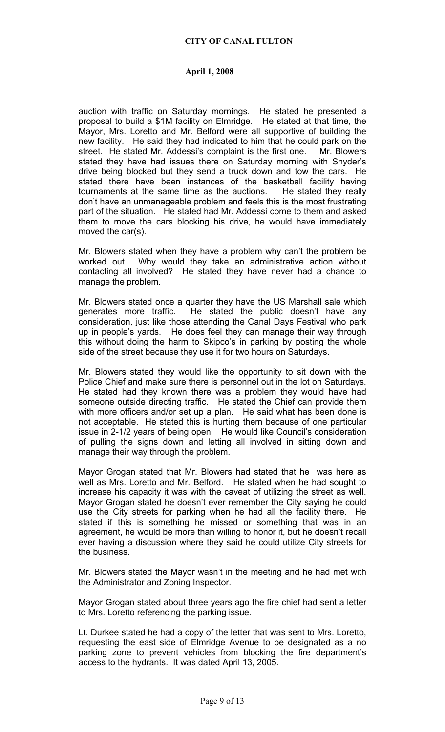auction with traffic on Saturday mornings. He stated he presented a proposal to build a \$1M facility on Elmridge. He stated at that time, the Mayor, Mrs. Loretto and Mr. Belford were all supportive of building the new facility. He said they had indicated to him that he could park on the street. He stated Mr. Addessi's complaint is the first one. Mr. Blowers stated they have had issues there on Saturday morning with Snyder's drive being blocked but they send a truck down and tow the cars. He stated there have been instances of the basketball facility having tournaments at the same time as the auctions. He stated they really don't have an unmanageable problem and feels this is the most frustrating part of the situation. He stated had Mr. Addessi come to them and asked them to move the cars blocking his drive, he would have immediately moved the car(s).

Mr. Blowers stated when they have a problem why can't the problem be worked out. Why would they take an administrative action without contacting all involved? He stated they have never had a chance to manage the problem.

Mr. Blowers stated once a quarter they have the US Marshall sale which generates more traffic. He stated the public doesn't have any consideration, just like those attending the Canal Days Festival who park up in people's yards. He does feel they can manage their way through this without doing the harm to Skipco's in parking by posting the whole side of the street because they use it for two hours on Saturdays.

Mr. Blowers stated they would like the opportunity to sit down with the Police Chief and make sure there is personnel out in the lot on Saturdays. He stated had they known there was a problem they would have had someone outside directing traffic. He stated the Chief can provide them with more officers and/or set up a plan. He said what has been done is not acceptable. He stated this is hurting them because of one particular issue in 2-1/2 years of being open. He would like Council's consideration of pulling the signs down and letting all involved in sitting down and manage their way through the problem.

Mayor Grogan stated that Mr. Blowers had stated that he was here as well as Mrs. Loretto and Mr. Belford. He stated when he had sought to increase his capacity it was with the caveat of utilizing the street as well. Mayor Grogan stated he doesn't ever remember the City saying he could use the City streets for parking when he had all the facility there. He stated if this is something he missed or something that was in an agreement, he would be more than willing to honor it, but he doesn't recall ever having a discussion where they said he could utilize City streets for the business.

Mr. Blowers stated the Mayor wasn't in the meeting and he had met with the Administrator and Zoning Inspector.

Mayor Grogan stated about three years ago the fire chief had sent a letter to Mrs. Loretto referencing the parking issue.

Lt. Durkee stated he had a copy of the letter that was sent to Mrs. Loretto, requesting the east side of Elmridge Avenue to be designated as a no parking zone to prevent vehicles from blocking the fire department's access to the hydrants. It was dated April 13, 2005.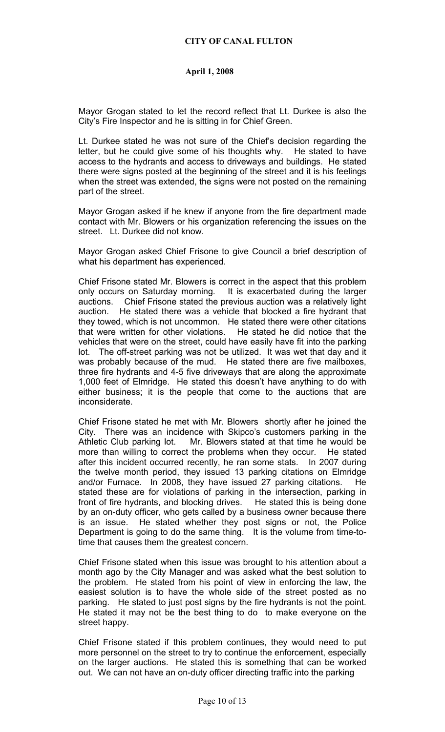Mayor Grogan stated to let the record reflect that Lt. Durkee is also the City's Fire Inspector and he is sitting in for Chief Green.

Lt. Durkee stated he was not sure of the Chief's decision regarding the letter, but he could give some of his thoughts why. He stated to have access to the hydrants and access to driveways and buildings. He stated there were signs posted at the beginning of the street and it is his feelings when the street was extended, the signs were not posted on the remaining part of the street.

Mayor Grogan asked if he knew if anyone from the fire department made contact with Mr. Blowers or his organization referencing the issues on the street. Lt. Durkee did not know.

Mayor Grogan asked Chief Frisone to give Council a brief description of what his department has experienced.

Chief Frisone stated Mr. Blowers is correct in the aspect that this problem only occurs on Saturday morning. It is exacerbated during the larger auctions. Chief Frisone stated the previous auction was a relatively light auction. He stated there was a vehicle that blocked a fire hydrant that they towed, which is not uncommon. He stated there were other citations that were written for other violations. He stated he did notice that the vehicles that were on the street, could have easily have fit into the parking lot. The off-street parking was not be utilized. It was wet that day and it was probably because of the mud. He stated there are five mailboxes, three fire hydrants and 4-5 five driveways that are along the approximate 1,000 feet of Elmridge. He stated this doesn't have anything to do with either business; it is the people that come to the auctions that are inconsiderate.

Chief Frisone stated he met with Mr. Blowers shortly after he joined the City. There was an incidence with Skipco's customers parking in the Athletic Club parking lot. Mr. Blowers stated at that time he would be more than willing to correct the problems when they occur. He stated after this incident occurred recently, he ran some stats. In 2007 during the twelve month period, they issued 13 parking citations on Elmridge and/or Furnace. In 2008, they have issued 27 parking citations. He stated these are for violations of parking in the intersection, parking in front of fire hydrants, and blocking drives. He stated this is being done by an on-duty officer, who gets called by a business owner because there is an issue. He stated whether they post signs or not, the Police Department is going to do the same thing. It is the volume from time-totime that causes them the greatest concern.

Chief Frisone stated when this issue was brought to his attention about a month ago by the City Manager and was asked what the best solution to the problem. He stated from his point of view in enforcing the law, the easiest solution is to have the whole side of the street posted as no parking. He stated to just post signs by the fire hydrants is not the point. He stated it may not be the best thing to do to make everyone on the street happy.

Chief Frisone stated if this problem continues, they would need to put more personnel on the street to try to continue the enforcement, especially on the larger auctions. He stated this is something that can be worked out. We can not have an on-duty officer directing traffic into the parking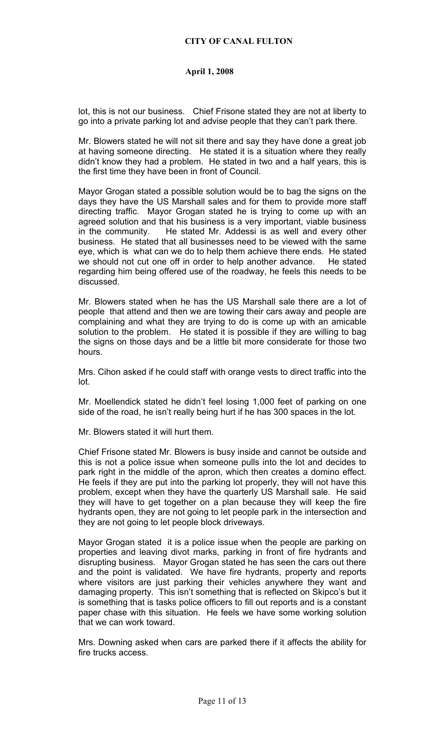lot, this is not our business. Chief Frisone stated they are not at liberty to go into a private parking lot and advise people that they can't park there.

Mr. Blowers stated he will not sit there and say they have done a great job at having someone directing. He stated it is a situation where they really didn't know they had a problem. He stated in two and a half years, this is the first time they have been in front of Council.

Mayor Grogan stated a possible solution would be to bag the signs on the days they have the US Marshall sales and for them to provide more staff directing traffic. Mayor Grogan stated he is trying to come up with an agreed solution and that his business is a very important, viable business in the community. He stated Mr. Addessi is as well and every other business. He stated that all businesses need to be viewed with the same eye, which is what can we do to help them achieve there ends. He stated we should not cut one off in order to help another advance. He stated regarding him being offered use of the roadway, he feels this needs to be discussed.

Mr. Blowers stated when he has the US Marshall sale there are a lot of people that attend and then we are towing their cars away and people are complaining and what they are trying to do is come up with an amicable solution to the problem. He stated it is possible if they are willing to bag the signs on those days and be a little bit more considerate for those two hours.

Mrs. Cihon asked if he could staff with orange vests to direct traffic into the lot.

Mr. Moellendick stated he didn't feel losing 1,000 feet of parking on one side of the road, he isn't really being hurt if he has 300 spaces in the lot.

Mr. Blowers stated it will hurt them.

Chief Frisone stated Mr. Blowers is busy inside and cannot be outside and this is not a police issue when someone pulls into the lot and decides to park right in the middle of the apron, which then creates a domino effect. He feels if they are put into the parking lot properly, they will not have this problem, except when they have the quarterly US Marshall sale. He said they will have to get together on a plan because they will keep the fire hydrants open, they are not going to let people park in the intersection and they are not going to let people block driveways.

Mayor Grogan stated it is a police issue when the people are parking on properties and leaving divot marks, parking in front of fire hydrants and disrupting business. Mayor Grogan stated he has seen the cars out there and the point is validated. We have fire hydrants, property and reports where visitors are just parking their vehicles anywhere they want and damaging property. This isn't something that is reflected on Skipco's but it is something that is tasks police officers to fill out reports and is a constant paper chase with this situation. He feels we have some working solution that we can work toward.

Mrs. Downing asked when cars are parked there if it affects the ability for fire trucks access.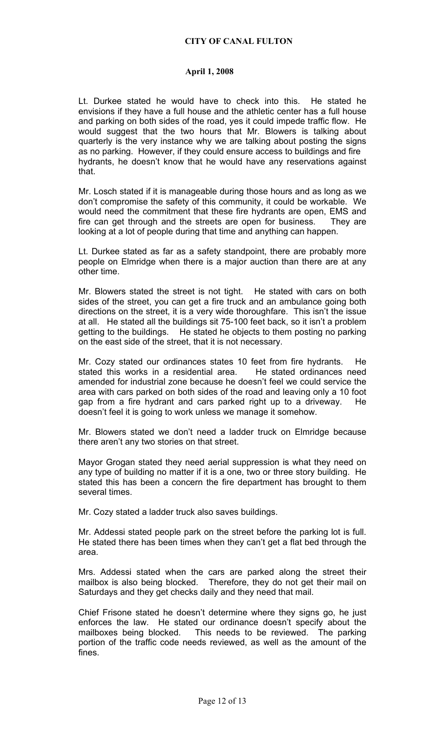Lt. Durkee stated he would have to check into this. He stated he envisions if they have a full house and the athletic center has a full house and parking on both sides of the road, yes it could impede traffic flow. He would suggest that the two hours that Mr. Blowers is talking about quarterly is the very instance why we are talking about posting the signs as no parking. However, if they could ensure access to buildings and fire hydrants, he doesn't know that he would have any reservations against that.

Mr. Losch stated if it is manageable during those hours and as long as we don't compromise the safety of this community, it could be workable. We would need the commitment that these fire hydrants are open, EMS and fire can get through and the streets are open for business. They are looking at a lot of people during that time and anything can happen.

Lt. Durkee stated as far as a safety standpoint, there are probably more people on Elmridge when there is a major auction than there are at any other time.

Mr. Blowers stated the street is not tight. He stated with cars on both sides of the street, you can get a fire truck and an ambulance going both directions on the street, it is a very wide thoroughfare. This isn't the issue at all. He stated all the buildings sit 75-100 feet back, so it isn't a problem getting to the buildings. He stated he objects to them posting no parking on the east side of the street, that it is not necessary.

Mr. Cozy stated our ordinances states 10 feet from fire hydrants. He stated this works in a residential area. He stated ordinances need amended for industrial zone because he doesn't feel we could service the area with cars parked on both sides of the road and leaving only a 10 foot gap from a fire hydrant and cars parked right up to a driveway. He doesn't feel it is going to work unless we manage it somehow.

Mr. Blowers stated we don't need a ladder truck on Elmridge because there aren't any two stories on that street.

Mayor Grogan stated they need aerial suppression is what they need on any type of building no matter if it is a one, two or three story building. He stated this has been a concern the fire department has brought to them several times.

Mr. Cozy stated a ladder truck also saves buildings.

Mr. Addessi stated people park on the street before the parking lot is full. He stated there has been times when they can't get a flat bed through the area.

Mrs. Addessi stated when the cars are parked along the street their mailbox is also being blocked. Therefore, they do not get their mail on Saturdays and they get checks daily and they need that mail.

Chief Frisone stated he doesn't determine where they signs go, he just enforces the law. He stated our ordinance doesn't specify about the mailboxes being blocked. This needs to be reviewed. The parking portion of the traffic code needs reviewed, as well as the amount of the fines.